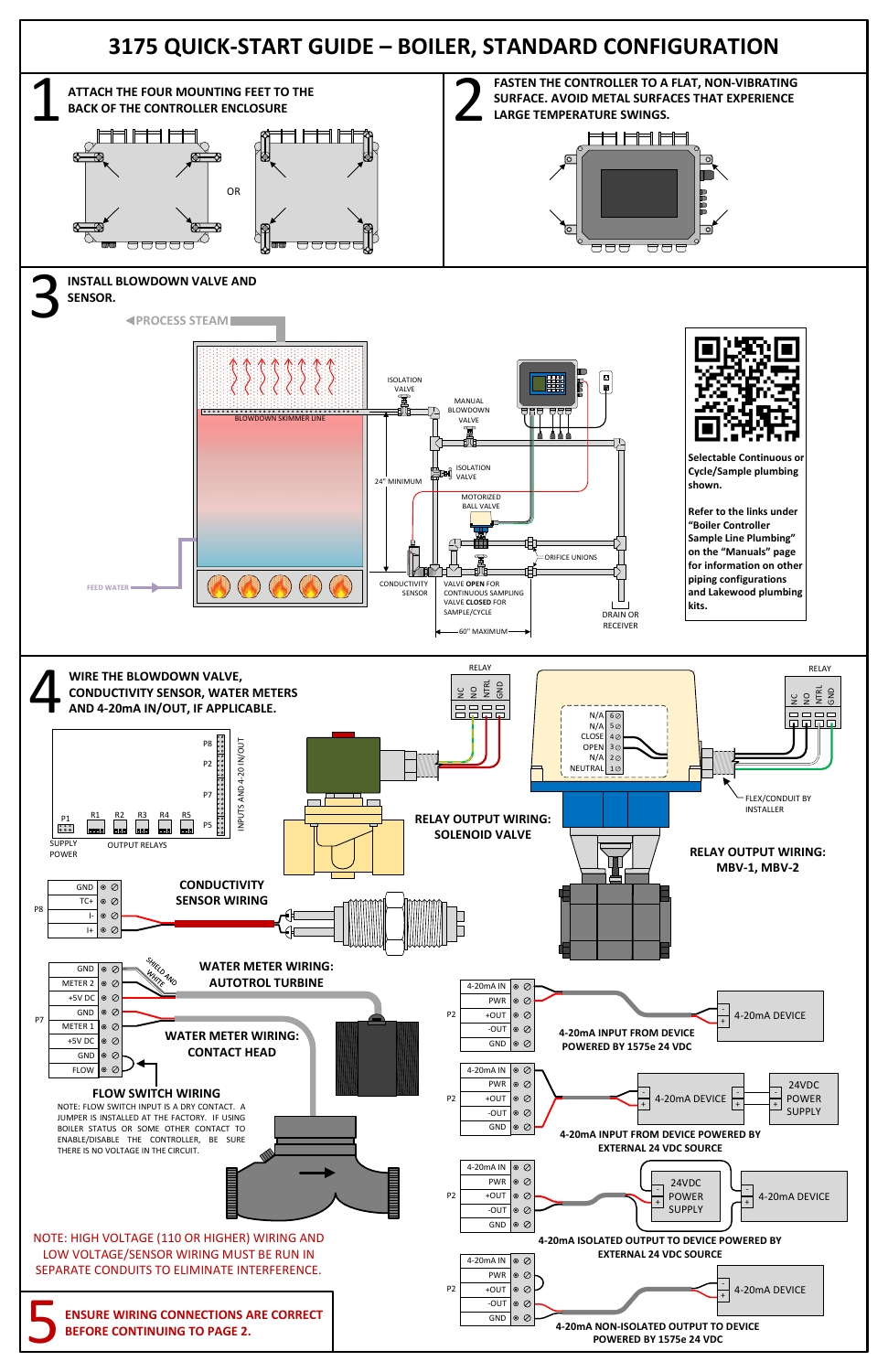